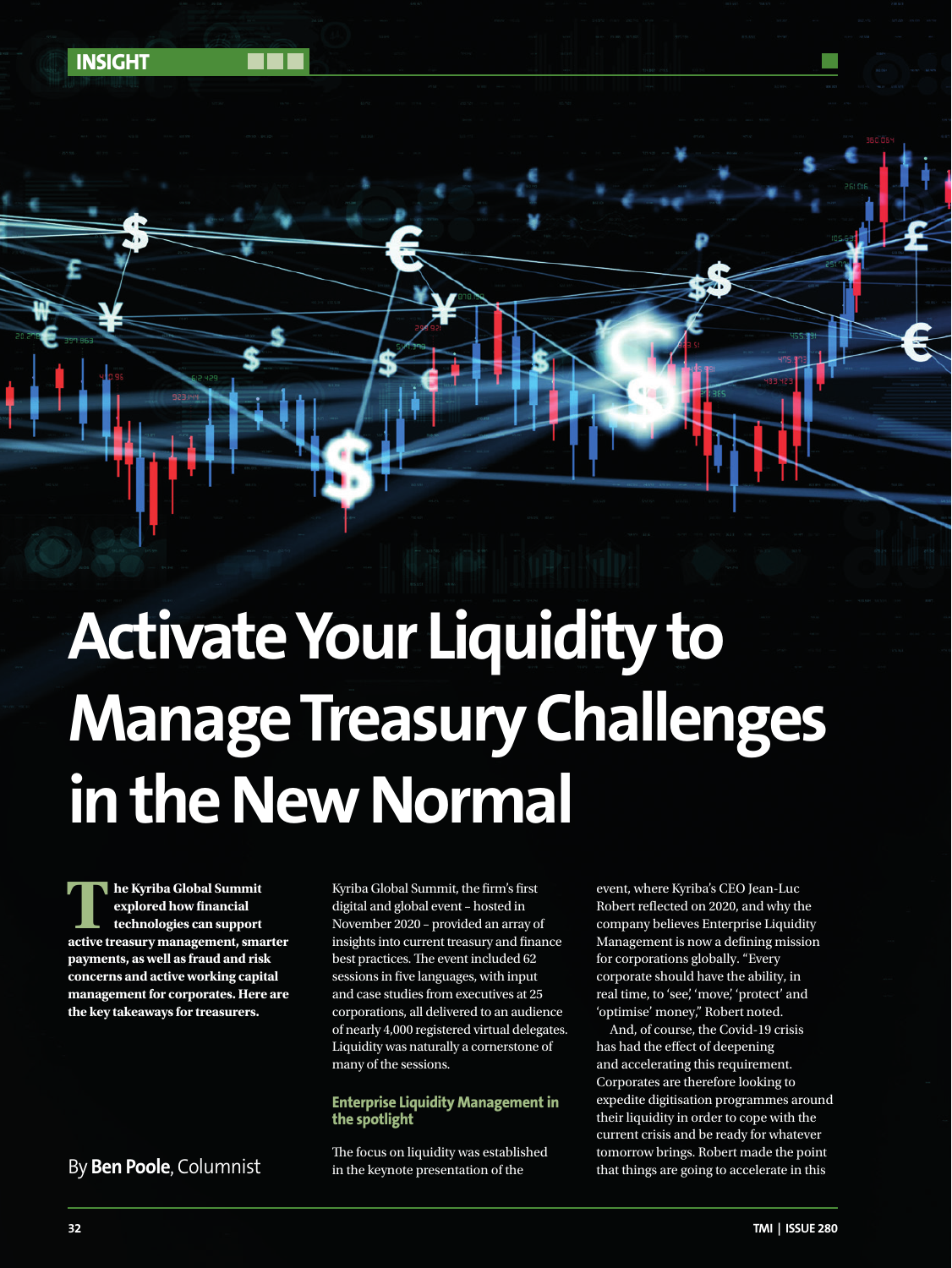

**1 he Kyriba Global Summit**<br>
explored how financial<br>
active treasury management, smarter **explored how financial technologies can support payments, as well as fraud and risk concerns and active working capital management for corporates. Here are the key takeaways for treasurers.**

**INSIGHT**

Kyriba Global Summit, the firm's first digital and global event – hosted in November 2020 – provided an array of insights into current treasury and finance best practices. The event included 62 sessions in five languages, with input and case studies from executives at 25 corporations, all delivered to an audience of nearly 4,000 registered virtual delegates. Liquidity was naturally a cornerstone of many of the sessions.

## **Enterprise Liquidity Management in the spotlight**

The focus on liquidity was established in the keynote presentation of the

event, where Kyriba's CEO Jean-Luc Robert reflected on 2020, and why the company believes Enterprise Liquidity Management is now a defining mission for corporations globally. "Every corporate should have the ability, in real time, to 'see', 'move', 'protect' and 'optimise' money," Robert noted.

And, of course, the Covid-19 crisis has had the effect of deepening and accelerating this requirement. Corporates are therefore looking to expedite digitisation programmes around their liquidity in order to cope with the current crisis and be ready for whatever tomorrow brings. Robert made the point By **Ben Poole**, Columnist in the keynote presentation of the that things are going to accelerate in this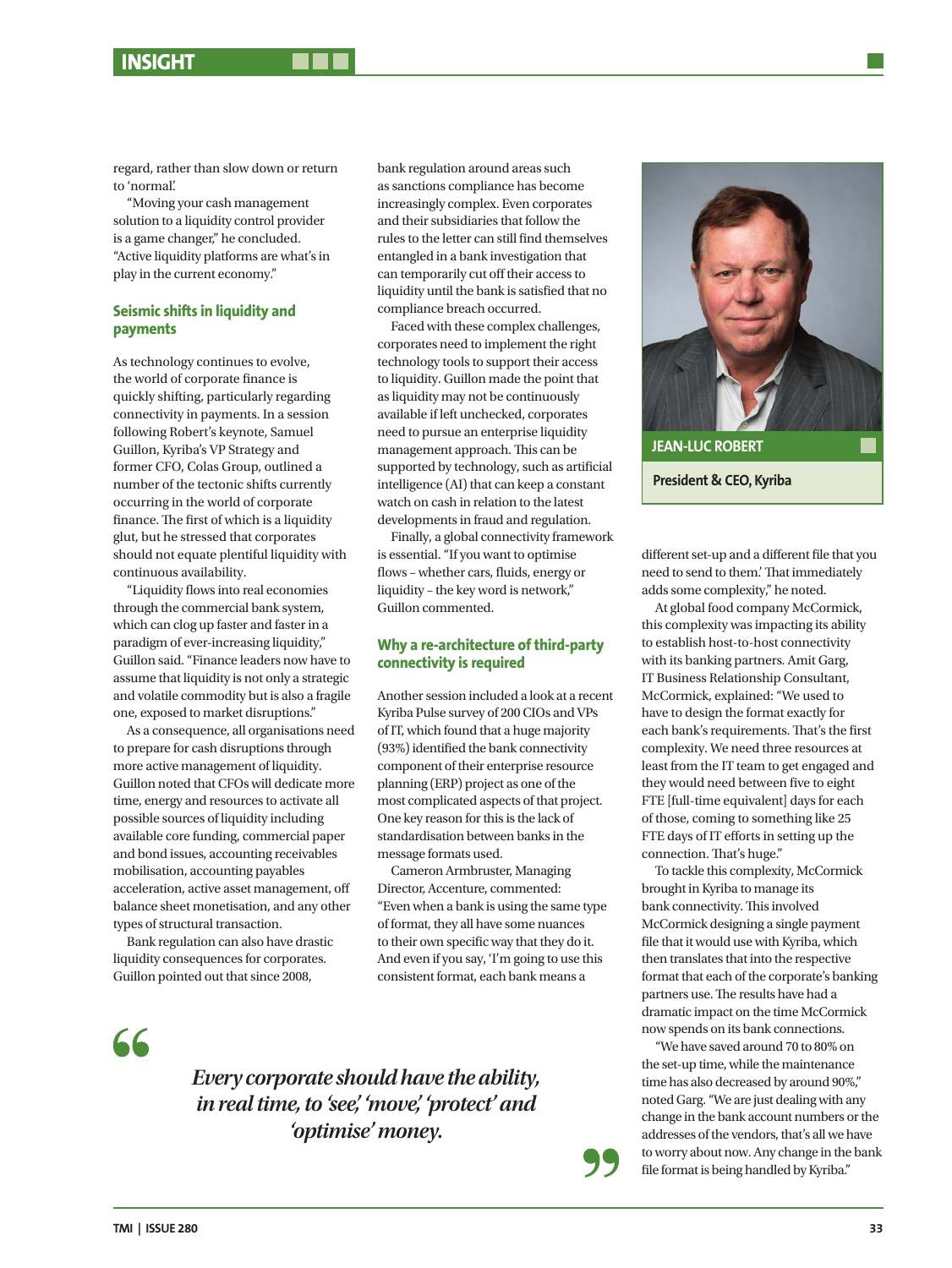# **INSIGHT**

regard, rather than slow down or return to 'normal'.

"Moving your cash management solution to a liquidity control provider is a game changer," he concluded. "Active liquidity platforms are what's in play in the current economy."

## **Seismic shifts in liquidity and payments**

As technology continues to evolve, the world of corporate finance is quickly shifting, particularly regarding connectivity in payments. In a session following Robert's keynote, Samuel Guillon, Kyriba's VP Strategy and former CFO, Colas Group, outlined a number of the tectonic shifts currently occurring in the world of corporate finance. The first of which is a liquidity glut, but he stressed that corporates should not equate plentiful liquidity with continuous availability.

"Liquidity flows into real economies through the commercial bank system, which can clog up faster and faster in a paradigm of ever-increasing liquidity," Guillon said. "Finance leaders now have to assume that liquidity is not only a strategic and volatile commodity but is also a fragile one, exposed to market disruptions."

As a consequence, all organisations need to prepare for cash disruptions through more active management of liquidity. Guillon noted that CFOs will dedicate more time, energy and resources to activate all possible sources of liquidity including available core funding, commercial paper and bond issues, accounting receivables mobilisation, accounting payables acceleration, active asset management, off balance sheet monetisation, and any other types of structural transaction.

Bank regulation can also have drastic liquidity consequences for corporates. Guillon pointed out that since 2008,

bank regulation around areas such as sanctions compliance has become increasingly complex. Even corporates and their subsidiaries that follow the rules to the letter can still find themselves entangled in a bank investigation that can temporarily cut off their access to liquidity until the bank is satisfied that no compliance breach occurred.

Faced with these complex challenges, corporates need to implement the right technology tools to support their access to liquidity. Guillon made the point that as liquidity may not be continuously available if left unchecked, corporates need to pursue an enterprise liquidity management approach. This can be supported by technology, such as artificial intelligence (AI) that can keep a constant watch on cash in relation to the latest developments in fraud and regulation.

Finally, a global connectivity framework is essential. "If you want to optimise flows – whether cars, fluids, energy or liquidity – the key word is network," Guillon commented.

## **Why a re-architecture of third-party connectivity is required**

Another session included a look at a recent Kyriba Pulse survey of 200 CIOs and VPs of IT, which found that a huge majority (93%) identified the bank connectivity component of their enterprise resource planning (ERP) project as one of the most complicated aspects of that project. One key reason for this is the lack of standardisation between banks in the message formats used.

Cameron Armbruster, Managing Director, Accenture, commented: "Even when a bank is using the same type of format, they all have some nuances to their own specific way that they do it. And even if you say, 'I'm going to use this consistent format, each bank means a

66

*Every corporate should have the ability, in real time, to 'see', 'move', 'protect' and 'optimise' money.*



different set-up and a different file that you need to send to them.' That immediately adds some complexity," he noted.

At global food company McCormick, this complexity was impacting its ability to establish host-to-host connectivity with its banking partners. Amit Garg, IT Business Relationship Consultant, McCormick, explained: "We used to have to design the format exactly for each bank's requirements. That's the first complexity. We need three resources at least from the IT team to get engaged and they would need between five to eight FTE [full-time equivalent] days for each of those, coming to something like 25 FTE days of IT efforts in setting up the connection. That's huge."

To tackle this complexity, McCormick brought in Kyriba to manage its bank connectivity. This involved McCormick designing a single payment file that it would use with Kyriba, which then translates that into the respective format that each of the corporate's banking partners use. The results have had a dramatic impact on the time McCormick now spends on its bank connections.

"We have saved around 70 to 80% on the set-up time, while the maintenance time has also decreased by around 90%," noted Garg. "We are just dealing with any change in the bank account numbers or the addresses of the vendors, that's all we have to worry about now. Any change in the bank file format is being handled by Kyriba."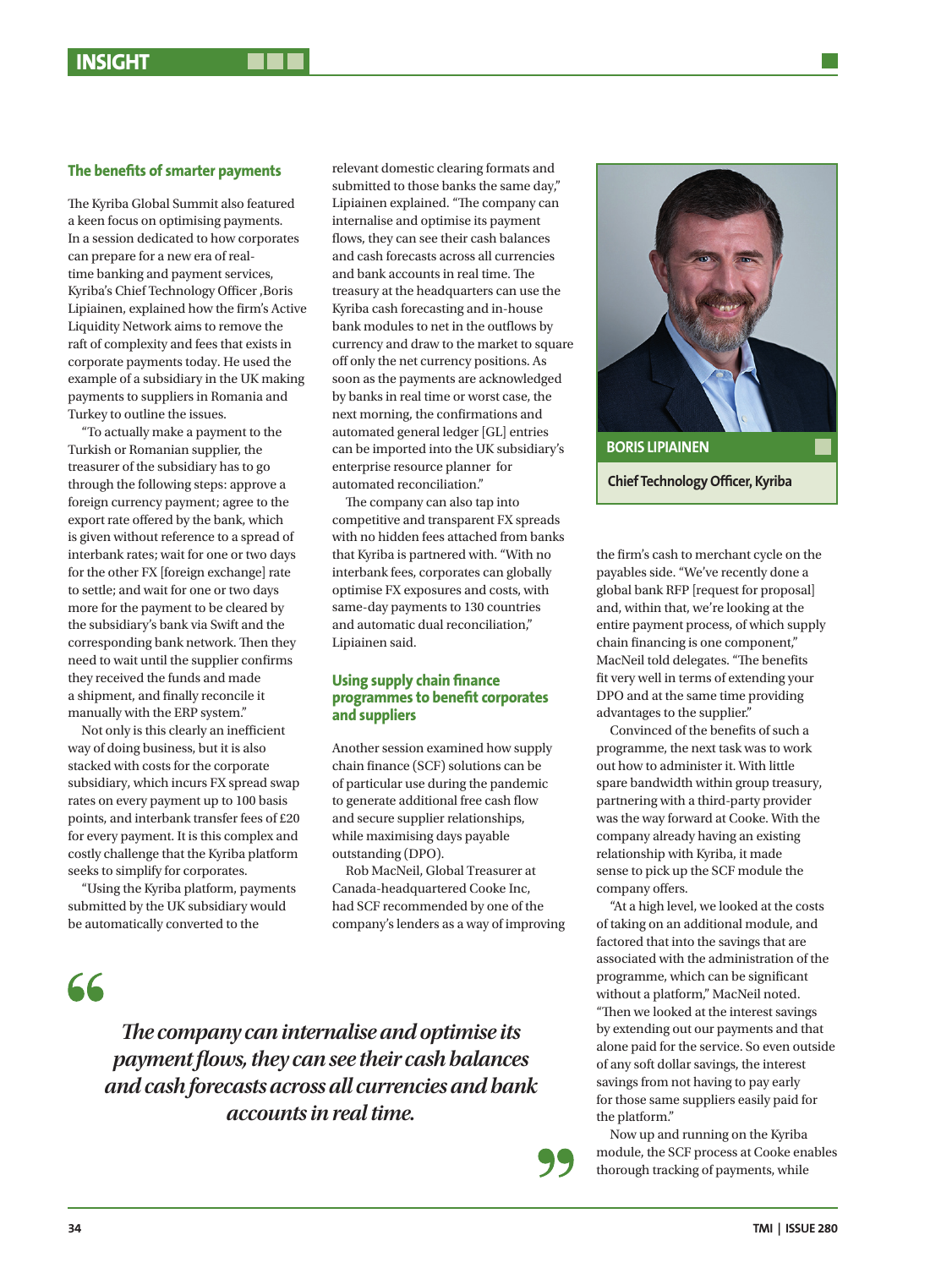## **The benefits of smarter payments**

The Kyriba Global Summit also featured a keen focus on optimising payments. In a session dedicated to how corporates can prepare for a new era of realtime banking and payment services, Kyriba's Chief Technology Officer ,Boris Lipiainen, explained how the firm's Active Liquidity Network aims to remove the raft of complexity and fees that exists in corporate payments today. He used the example of a subsidiary in the UK making payments to suppliers in Romania and Turkey to outline the issues.

"To actually make a payment to the Turkish or Romanian supplier, the treasurer of the subsidiary has to go through the following steps: approve a foreign currency payment; agree to the export rate offered by the bank, which is given without reference to a spread of interbank rates; wait for one or two days for the other FX [foreign exchange] rate to settle; and wait for one or two days more for the payment to be cleared by the subsidiary's bank via Swift and the corresponding bank network. Then they need to wait until the supplier confirms they received the funds and made a shipment, and finally reconcile it manually with the ERP system."

Not only is this clearly an inefficient way of doing business, but it is also stacked with costs for the corporate subsidiary, which incurs FX spread swap rates on every payment up to 100 basis points, and interbank transfer fees of £20 for every payment. It is this complex and costly challenge that the Kyriba platform seeks to simplify for corporates.

"Using the Kyriba platform, payments submitted by the UK subsidiary would be automatically converted to the

66

submitted to those banks the same day," Lipiainen explained. "The company can internalise and optimise its payment flows, they can see their cash balances and cash forecasts across all currencies and bank accounts in real time. The treasury at the headquarters can use the Kyriba cash forecasting and in-house bank modules to net in the outflows by currency and draw to the market to square off only the net currency positions. As soon as the payments are acknowledged by banks in real time or worst case, the next morning, the confirmations and automated general ledger [GL] entries can be imported into the UK subsidiary's enterprise resource planner for automated reconciliation."

relevant domestic clearing formats and

The company can also tap into competitive and transparent FX spreads with no hidden fees attached from banks that Kyriba is partnered with. "With no interbank fees, corporates can globally optimise FX exposures and costs, with same-day payments to 130 countries and automatic dual reconciliation," Lipiainen said.

### **Using supply chain finance programmes to benefit corporates and suppliers**

Another session examined how supply chain finance (SCF) solutions can be of particular use during the pandemic to generate additional free cash flow and secure supplier relationships, while maximising days payable outstanding (DPO).

Rob MacNeil, Global Treasurer at Canada-headquartered Cooke Inc, had SCF recommended by one of the company's lenders as a way of improving



the firm's cash to merchant cycle on the payables side. "We've recently done a global bank RFP [request for proposal] and, within that, we're looking at the entire payment process, of which supply chain financing is one component," MacNeil told delegates. "The benefits fit very well in terms of extending your DPO and at the same time providing advantages to the supplier."

Convinced of the benefits of such a programme, the next task was to work out how to administer it. With little spare bandwidth within group treasury, partnering with a third-party provider was the way forward at Cooke. With the company already having an existing relationship with Kyriba, it made sense to pick up the SCF module the company offers.

"At a high level, we looked at the costs of taking on an additional module, and factored that into the savings that are associated with the administration of the programme, which can be significant without a platform," MacNeil noted. "Then we looked at the interest savings by extending out our payments and that alone paid for the service. So even outside of any soft dollar savings, the interest savings from not having to pay early for those same suppliers easily paid for the platform."

Now up and running on the Kyriba module, the SCF process at Cooke enables thorough tracking of payments, while

*The company can internalise and optimise its payment flows, they can see their cash balances and cash forecasts across all currencies and bank accounts in real time.*